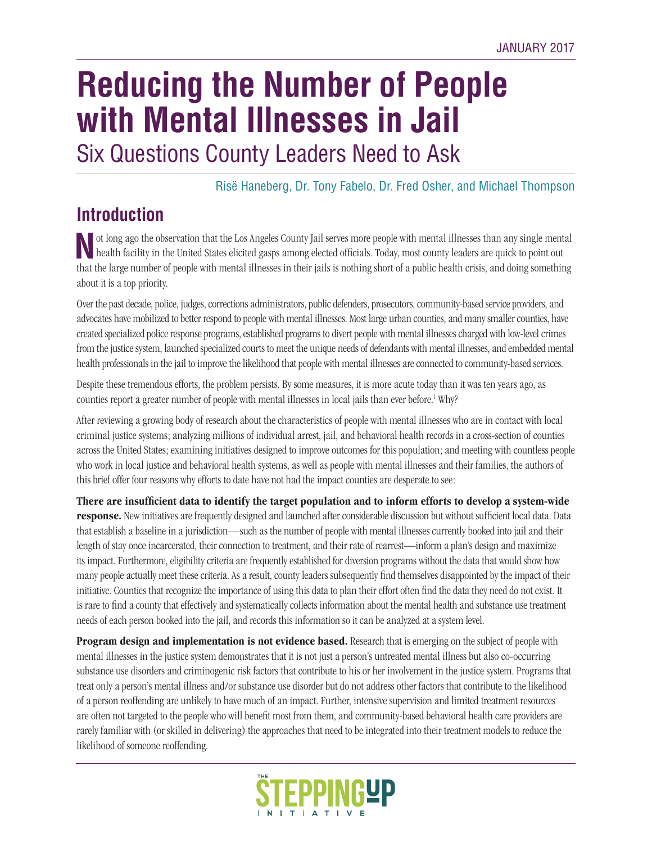# **Reducing the Number of People with Mental Illnesses in Jail** Six Questions County Leaders Need to Ask

Risë Haneberg, Dr. Tony Fabelo, Dr. Fred Osher, and Michael Thompson

# **Introduction**

**N**ot long ago the observation that the Los Angeles County Jail serves more people with mental illnesses than any single mental health facility in the United States elicited gasps among elected officials. Today, most county leaders are quick to point out that the large number of people with mental illnesses in their jails is nothing short of a public health crisis, and doing something about it is a top priority.

Over the past decade, police, judges, corrections administrators, public defenders, prosecutors, community-based service providers, and advocates have mobilized to better respond to people with mental illnesses. Most large urban counties, and many smaller counties, have created specialized police response programs, established programs to divert people with mental illnesses charged with low-level crimes from the justice system, launched specialized courts to meet the unique needs of defendants with mental illnesses, and embedded mental health professionals in the jail to improve the likelihood that people with mental illnesses are connected to community-based services.

Despite these tremendous efforts, the problem persists. By some measures, it is more acute today than it was ten years ago, as counties report a greater number of people with mental illnesses in local jails than ever before.<sup>1</sup> Why?

After reviewing a growing body of research about the characteristics of people with mental illnesses who are in contact with local criminal justice systems; analyzing millions of individual arrest, jail, and behavioral health records in a cross-section of counties across the United States; examining initiatives designed to improve outcomes for this population; and meeting with countless people who work in local justice and behavioral health systems, as well as people with mental illnesses and their families, the authors of this brief offer four reasons why efforts to date have not had the impact counties are desperate to see:

**There are insufficient data to identify the target population and to inform efforts to develop a system-wide response.** New initiatives are frequently designed and launched after considerable discussion but without sufficient local data. Data that establish a baseline in a jurisdiction—such as the number of people with mental illnesses currently booked into jail and their length of stay once incarcerated, their connection to treatment, and their rate of rearrest—inform a plan's design and maximize its impact. Furthermore, eligibility criteria are frequently established for diversion programs without the data that would show how many people actually meet these criteria. As a result, county leaders subsequently find themselves disappointed by the impact of their initiative. Counties that recognize the importance of using this data to plan their effort often find the data they need do not exist. It is rare to find a county that effectively and systematically collects information about the mental health and substance use treatment needs of each person booked into the jail, and records this information so it can be analyzed at a system level.

**Program design and implementation is not evidence based.** Research that is emerging on the subject of people with mental illnesses in the justice system demonstrates that it is not just a person's untreated mental illness but also co-occurring substance use disorders and criminogenic risk factors that contribute to his or her involvement in the justice system. Programs that treat only a person's mental illness and/or substance use disorder but do not address other factors that contribute to the likelihood of a person reoffending are unlikely to have much of an impact. Further, intensive supervision and limited treatment resources are often not targeted to the people who will benefit most from them, and community-based behavioral health care providers are rarely familiar with (or skilled in delivering) the approaches that need to be integrated into their treatment models to reduce the likelihood of someone reoffending.

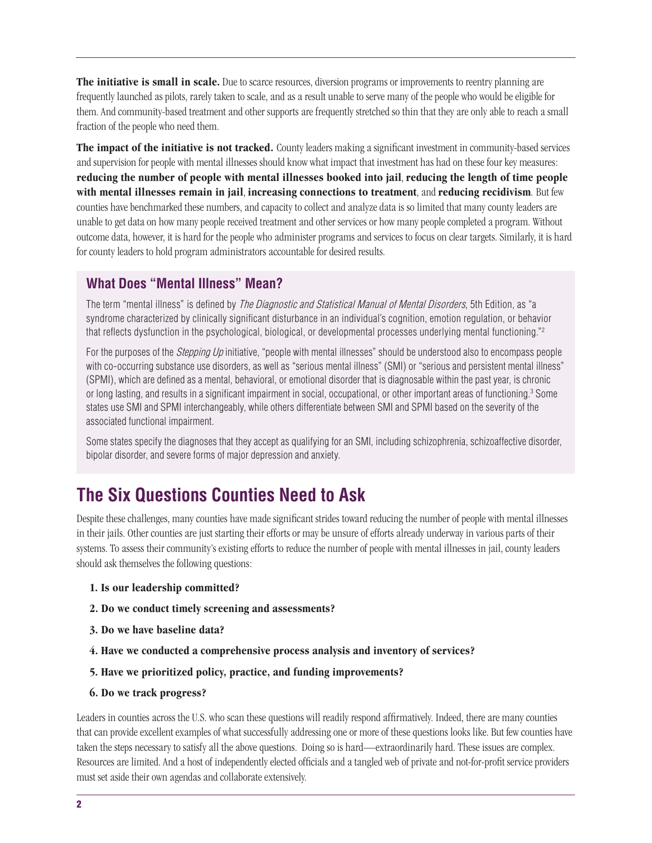**The initiative is small in scale.** Due to scarce resources, diversion programs or improvements to reentry planning are frequently launched as pilots, rarely taken to scale, and as a result unable to serve many of the people who would be eligible for them. And community-based treatment and other supports are frequently stretched so thin that they are only able to reach a small fraction of the people who need them.

**The impact of the initiative is not tracked.** County leaders making a significant investment in community-based services and supervision for people with mental illnesses should know what impact that investment has had on these four key measures: **reducing the number of people with mental illnesses booked into jail**, **reducing the length of time people with mental illnesses remain in jail**, **increasing connections to treatment**, and **reducing recidivism***.* But few counties have benchmarked these numbers, and capacity to collect and analyze data is so limited that many county leaders are unable to get data on how many people received treatment and other services or how many people completed a program. Without outcome data, however, it is hard for the people who administer programs and services to focus on clear targets. Similarly, it is hard for county leaders to hold program administrators accountable for desired results.

#### **What Does "Mental Illness" Mean?**

The term "mental illness" is defined by The Diagnostic and Statistical Manual of Mental Disorders, 5th Edition, as "a syndrome characterized by clinically significant disturbance in an individual's cognition, emotion regulation, or behavior that reflects dysfunction in the psychological, biological, or developmental processes underlying mental functioning."2

For the purposes of the *Stepping Up* initiative, "people with mental illnesses" should be understood also to encompass people with co-occurring substance use disorders, as well as "serious mental illness" (SMI) or "serious and persistent mental illness" (SPMI), which are defined as a mental, behavioral, or emotional disorder that is diagnosable within the past year, is chronic or long lasting, and results in a significant impairment in social, occupational, or other important areas of functioning.<sup>3</sup> Some states use SMI and SPMI interchangeably, while others differentiate between SMI and SPMI based on the severity of the associated functional impairment.

Some states specify the diagnoses that they accept as qualifying for an SMI, including schizophrenia, schizoaffective disorder, bipolar disorder, and severe forms of major depression and anxiety.

# **The Six Questions Counties Need to Ask**

Despite these challenges, many counties have made significant strides toward reducing the number of people with mental illnesses in their jails. Other counties are just starting their efforts or may be unsure of efforts already underway in various parts of their systems. To assess their community's existing efforts to reduce the number of people with mental illnesses in jail, county leaders should ask themselves the following questions:

- **1. Is our leadership committed?**
- **2. Do we conduct timely screening and assessments?**
- **3. Do we have baseline data?**
- **4. Have we conducted a comprehensive process analysis and inventory of services?**
- **5. Have we prioritized policy, practice, and funding improvements?**
- **6. Do we track progress?**

Leaders in counties across the U.S. who scan these questions will readily respond affirmatively. Indeed, there are many counties that can provide excellent examples of what successfully addressing one or more of these questions looks like. But few counties have taken the steps necessary to satisfy all the above questions. Doing so is hard—extraordinarily hard. These issues are complex. Resources are limited. And a host of independently elected officials and a tangled web of private and not-for-profit service providers must set aside their own agendas and collaborate extensively.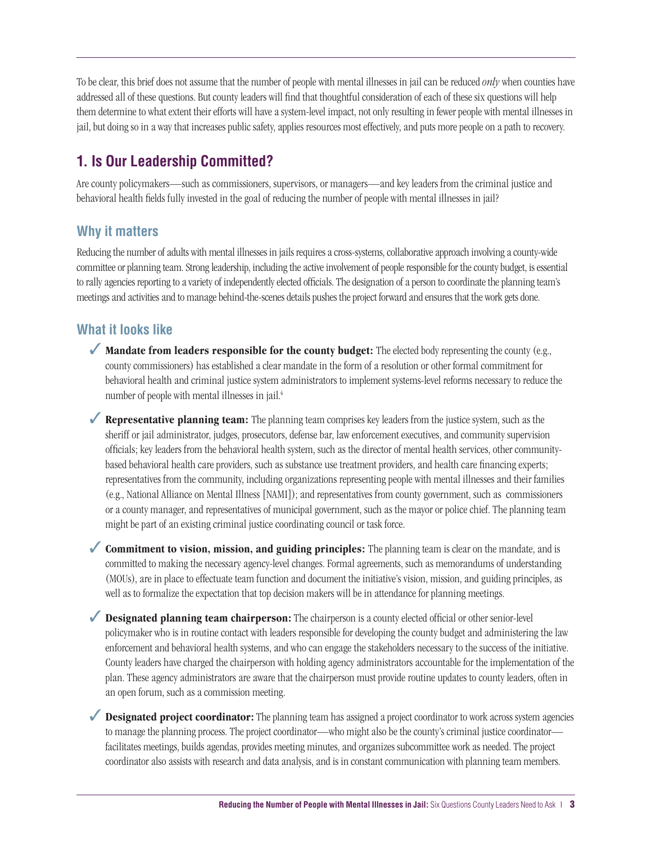To be clear, this brief does not assume that the number of people with mental illnesses in jail can be reduced *only* when counties have addressed all of these questions. But county leaders will find that thoughtful consideration of each of these six questions will help them determine to what extent their efforts will have a system-level impact, not only resulting in fewer people with mental illnesses in jail, but doing so in a way that increases public safety, applies resources most effectively, and puts more people on a path to recovery.

### **1. Is Our Leadership Committed?**

Are county policymakers—such as commissioners, supervisors, or managers—and key leaders from the criminal justice and behavioral health fields fully invested in the goal of reducing the number of people with mental illnesses in jail?

#### **Why it matters**

Reducing the number of adults with mental illnesses in jails requires a cross-systems, collaborative approach involving a county-wide committee or planning team. Strong leadership, including the active involvement of people responsible for the county budget, is essential to rally agencies reporting to a variety of independently elected officials. The designation of a person to coordinate the planning team's meetings and activities and to manage behind-the-scenes details pushes the project forward and ensures that the work gets done.

#### **What it looks like**

- ✓ **Mandate from leaders responsible for the county budget:** The elected body representing the county (e.g., county commissioners) has established a clear mandate in the form of a resolution or other formal commitment for behavioral health and criminal justice system administrators to implement systems-level reforms necessary to reduce the number of people with mental illnesses in jail.<sup>4</sup>
- ✓ **Representative planning team:** The planning team comprises key leaders from the justice system, such as the sheriff or jail administrator, judges, prosecutors, defense bar, law enforcement executives, and community supervision officials; key leaders from the behavioral health system, such as the director of mental health services, other communitybased behavioral health care providers, such as substance use treatment providers, and health care financing experts; representatives from the community, including organizations representing people with mental illnesses and their families (e.g., National Alliance on Mental Illness [NAMI]); and representatives from county government, such as commissioners or a county manager, and representatives of municipal government, such as the mayor or police chief. The planning team might be part of an existing criminal justice coordinating council or task force.
- ✓ **Commitment to vision, mission, and guiding principles:** The planning team is clear on the mandate, and is committed to making the necessary agency-level changes. Formal agreements, such as memorandums of understanding (MOUs), are in place to effectuate team function and document the initiative's vision, mission, and guiding principles, as well as to formalize the expectation that top decision makers will be in attendance for planning meetings.
- ◆ **Designated planning team chairperson:** The chairperson is a county elected official or other senior-level policymaker who is in routine contact with leaders responsible for developing the county budget and administering the law enforcement and behavioral health systems, and who can engage the stakeholders necessary to the success of the initiative. County leaders have charged the chairperson with holding agency administrators accountable for the implementation of the plan. These agency administrators are aware that the chairperson must provide routine updates to county leaders, often in an open forum, such as a commission meeting.
- ◆ **Designated project coordinator:** The planning team has assigned a project coordinator to work across system agencies to manage the planning process. The project coordinator—who might also be the county's criminal justice coordinatorfacilitates meetings, builds agendas, provides meeting minutes, and organizes subcommittee work as needed. The project coordinator also assists with research and data analysis, and is in constant communication with planning team members.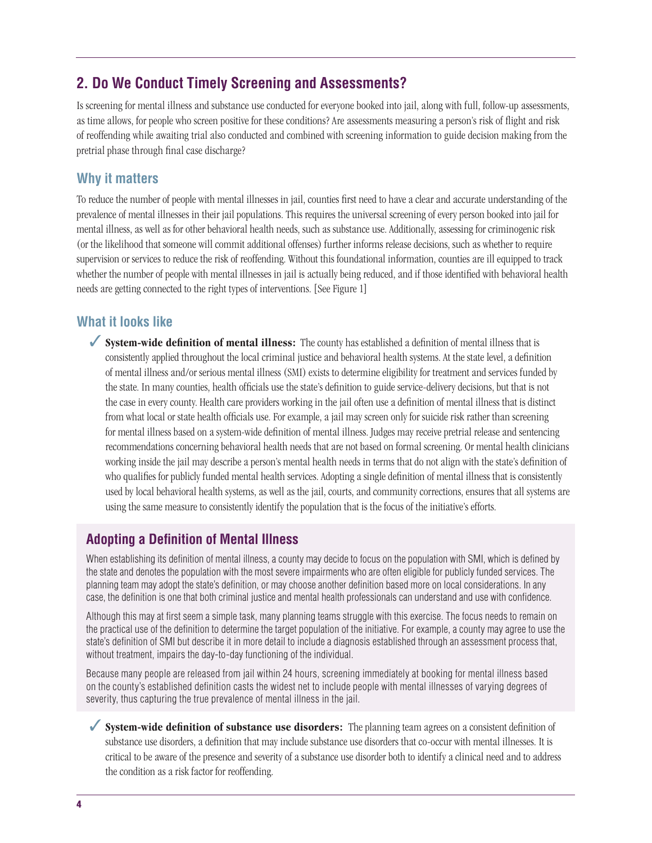#### **2. Do We Conduct Timely Screening and Assessments?**

Is screening for mental illness and substance use conducted for everyone booked into jail, along with full, follow-up assessments, as time allows, for people who screen positive for these conditions? Are assessments measuring a person's risk of flight and risk of reoffending while awaiting trial also conducted and combined with screening information to guide decision making from the pretrial phase through final case discharge?

#### **Why it matters**

To reduce the number of people with mental illnesses in jail, counties first need to have a clear and accurate understanding of the prevalence of mental illnesses in their jail populations. This requires the universal screening of every person booked into jail for mental illness, as well as for other behavioral health needs, such as substance use. Additionally, assessing for criminogenic risk (or the likelihood that someone will commit additional offenses) further informs release decisions, such as whether to require supervision or services to reduce the risk of reoffending. Without this foundational information, counties are ill equipped to track whether the number of people with mental illnesses in jail is actually being reduced, and if those identified with behavioral health needs are getting connected to the right types of interventions. [See Figure 1]

#### **What it looks like**

✓ **System-wide definition of mental illness:** The county has established a definition of mental illness that is consistently applied throughout the local criminal justice and behavioral health systems. At the state level, a definition of mental illness and/or serious mental illness (SMI) exists to determine eligibility for treatment and services funded by the state. In many counties, health officials use the state's definition to guide service-delivery decisions, but that is not the case in every county. Health care providers working in the jail often use a definition of mental illness that is distinct from what local or state health officials use. For example, a jail may screen only for suicide risk rather than screening for mental illness based on a system-wide definition of mental illness. Judges may receive pretrial release and sentencing recommendations concerning behavioral health needs that are not based on formal screening. Or mental health clinicians working inside the jail may describe a person's mental health needs in terms that do not align with the state's definition of who qualifies for publicly funded mental health services. Adopting a single definition of mental illness that is consistently used by local behavioral health systems, as well as the jail, courts, and community corrections, ensures that all systems are using the same measure to consistently identify the population that is the focus of the initiative's efforts.

#### **Adopting a Definition of Mental Illness**

When establishing its definition of mental illness, a county may decide to focus on the population with SMI, which is defined by the state and denotes the population with the most severe impairments who are often eligible for publicly funded services. The planning team may adopt the state's definition, or may choose another definition based more on local considerations. In any case, the definition is one that both criminal justice and mental health professionals can understand and use with confidence.

Although this may at first seem a simple task, many planning teams struggle with this exercise. The focus needs to remain on the practical use of the definition to determine the target population of the initiative. For example, a county may agree to use the state's definition of SMI but describe it in more detail to include a diagnosis established through an assessment process that, without treatment, impairs the day-to-day functioning of the individual.

Because many people are released from jail within 24 hours, screening immediately at booking for mental illness based on the county's established definition casts the widest net to include people with mental illnesses of varying degrees of severity, thus capturing the true prevalence of mental illness in the jail.

◆ **System-wide definition of substance use disorders:** The planning team agrees on a consistent definition of substance use disorders, a definition that may include substance use disorders that co-occur with mental illnesses. It is critical to be aware of the presence and severity of a substance use disorder both to identify a clinical need and to address the condition as a risk factor for reoffending.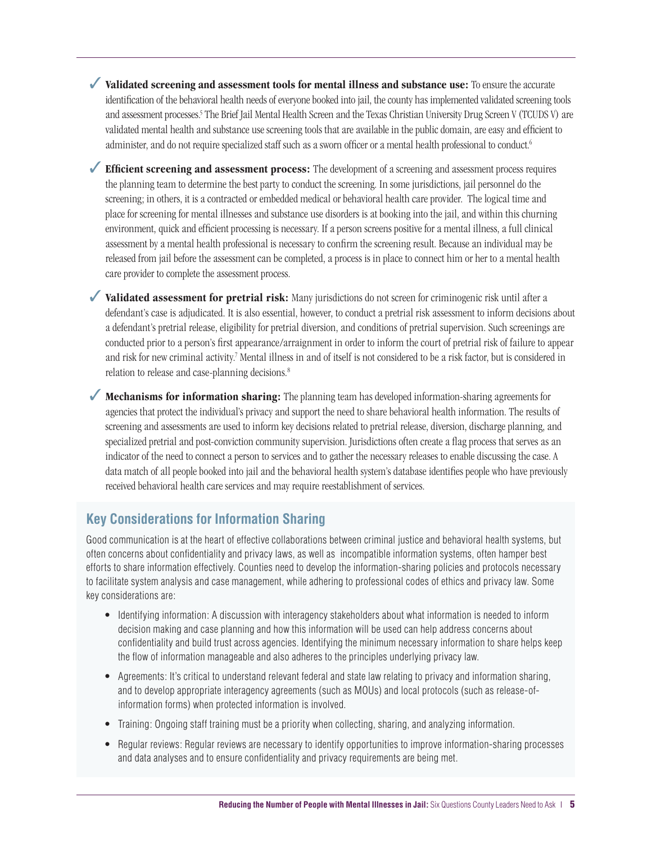✓ **Validated screening and assessment tools for mental illness and substance use:** To ensure the accurate identification of the behavioral health needs of everyone booked into jail, the county has implemented validated screening tools and assessment processes.<sup>5</sup> The Brief Jail Mental Health Screen and the Texas Christian University Drug Screen V (TCUDS V) are validated mental health and substance use screening tools that are available in the public domain, are easy and efficient to administer, and do not require specialized staff such as a sworn officer or a mental health professional to conduct.6

✓ **Efficient screening and assessment process:** The development of a screening and assessment process requires the planning team to determine the best party to conduct the screening. In some jurisdictions, jail personnel do the screening; in others, it is a contracted or embedded medical or behavioral health care provider. The logical time and place for screening for mental illnesses and substance use disorders is at booking into the jail, and within this churning environment, quick and efficient processing is necessary. If a person screens positive for a mental illness, a full clinical assessment by a mental health professional is necessary to confirm the screening result. Because an individual may be released from jail before the assessment can be completed, a process is in place to connect him or her to a mental health care provider to complete the assessment process.

◆ **Validated assessment for pretrial risk:** Many jurisdictions do not screen for criminogenic risk until after a defendant's case is adjudicated. It is also essential, however, to conduct a pretrial risk assessment to inform decisions about a defendant's pretrial release, eligibility for pretrial diversion, and conditions of pretrial supervision. Such screenings are conducted prior to a person's first appearance/arraignment in order to inform the court of pretrial risk of failure to appear and risk for new criminal activity.<sup>7</sup> Mental illness in and of itself is not considered to be a risk factor, but is considered in relation to release and case-planning decisions.<sup>8</sup>

✓ **Mechanisms for information sharing:** The planning team has developed information-sharing agreements for agencies that protect the individual's privacy and support the need to share behavioral health information. The results of screening and assessments are used to inform key decisions related to pretrial release, diversion, discharge planning, and specialized pretrial and post-conviction community supervision. Jurisdictions often create a flag process that serves as an indicator of the need to connect a person to services and to gather the necessary releases to enable discussing the case. A data match of all people booked into jail and the behavioral health system's database identifies people who have previously received behavioral health care services and may require reestablishment of services.

#### **Key Considerations for Information Sharing**

Good communication is at the heart of effective collaborations between criminal justice and behavioral health systems, but often concerns about confidentiality and privacy laws, as well as incompatible information systems, often hamper best efforts to share information effectively. Counties need to develop the information-sharing policies and protocols necessary to facilitate system analysis and case management, while adhering to professional codes of ethics and privacy law. Some key considerations are:

- Identifying information: A discussion with interagency stakeholders about what information is needed to inform decision making and case planning and how this information will be used can help address concerns about confidentiality and build trust across agencies. Identifying the minimum necessary information to share helps keep the flow of information manageable and also adheres to the principles underlying privacy law.
- Agreements: It's critical to understand relevant federal and state law relating to privacy and information sharing, and to develop appropriate interagency agreements (such as MOUs) and local protocols (such as release-ofinformation forms) when protected information is involved.
- Training: Ongoing staff training must be a priority when collecting, sharing, and analyzing information.
- Regular reviews: Regular reviews are necessary to identify opportunities to improve information-sharing processes and data analyses and to ensure confidentiality and privacy requirements are being met.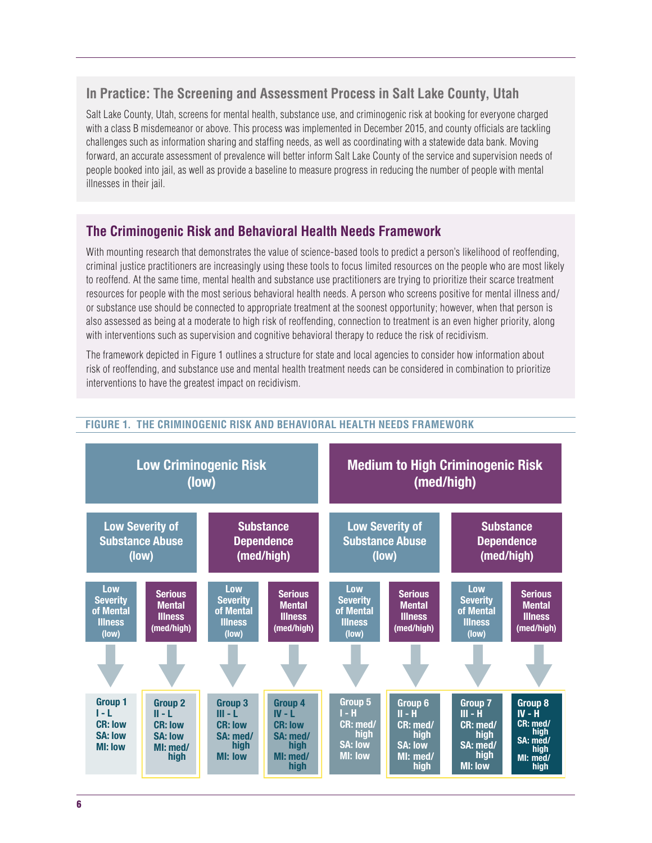#### **In Practice: The Screening and Assessment Process in Salt Lake County, Utah**

Salt Lake County, Utah, screens for mental health, substance use, and criminogenic risk at booking for everyone charged with a class B misdemeanor or above. This process was implemented in December 2015, and county officials are tackling challenges such as information sharing and staffing needs, as well as coordinating with a statewide data bank. Moving forward, an accurate assessment of prevalence will better inform Salt Lake County of the service and supervision needs of people booked into jail, as well as provide a baseline to measure progress in reducing the number of people with mental illnesses in their jail.

#### **The Criminogenic Risk and Behavioral Health Needs Framework**

With mounting research that demonstrates the value of science-based tools to predict a person's likelihood of reoffending, criminal justice practitioners are increasingly using these tools to focus limited resources on the people who are most likely to reoffend. At the same time, mental health and substance use practitioners are trying to prioritize their scarce treatment resources for people with the most serious behavioral health needs. A person who screens positive for mental illness and/ or substance use should be connected to appropriate treatment at the soonest opportunity; however, when that person is also assessed as being at a moderate to high risk of reoffending, connection to treatment is an even higher priority, along with interventions such as supervision and cognitive behavioral therapy to reduce the risk of recidivism.

The framework depicted in Figure 1 outlines a structure for state and local agencies to consider how information about risk of reoffending, and substance use and mental health treatment needs can be considered in combination to prioritize interventions to have the greatest impact on recidivism.



#### **FIGURE 1. THE CRIMINOGENIC RISK AND BEHAVIORAL HEALTH NEEDS FRAMEWORK**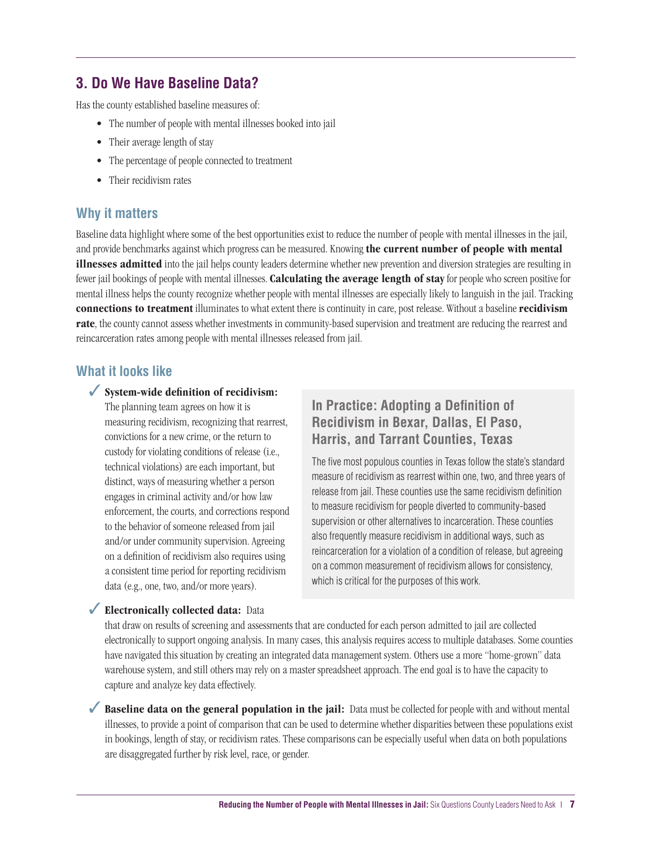#### **3. Do We Have Baseline Data?**

Has the county established baseline measures of:

- The number of people with mental illnesses booked into jail
- Their average length of stay
- The percentage of people connected to treatment
- Their recidivism rates

#### **Why it matters**

Baseline data highlight where some of the best opportunities exist to reduce the number of people with mental illnesses in the jail, and provide benchmarks against which progress can be measured. Knowing **the current number of people with mental illnesses admitted** into the jail helps county leaders determine whether new prevention and diversion strategies are resulting in fewer jail bookings of people with mental illnesses. **Calculating the average length of stay** for people who screen positive for mental illness helps the county recognize whether people with mental illnesses are especially likely to languish in the jail. Tracking **connections to treatment** illuminates to what extent there is continuity in care, post release. Without a baseline **recidivism rate**, the county cannot assess whether investments in community-based supervision and treatment are reducing the rearrest and reincarceration rates among people with mental illnesses released from jail.

#### **What it looks like**

#### ✓ **System-wide definition of recidivism:**

The planning team agrees on how it is measuring recidivism, recognizing that rearrest, convictions for a new crime, or the return to custody for violating conditions of release (i.e., technical violations) are each important, but distinct, ways of measuring whether a person engages in criminal activity and/or how law enforcement, the courts, and corrections respond to the behavior of someone released from jail and/or under community supervision. Agreeing on a definition of recidivism also requires using a consistent time period for reporting recidivism data (e.g., one, two, and/or more years).

#### **In Practice: Adopting a Definition of Recidivism in Bexar, Dallas, El Paso, Harris, and Tarrant Counties, Texas**

The five most populous counties in Texas follow the state's standard measure of recidivism as rearrest within one, two, and three years of release from jail. These counties use the same recidivism definition to measure recidivism for people diverted to community-based supervision or other alternatives to incarceration. These counties also frequently measure recidivism in additional ways, such as reincarceration for a violation of a condition of release, but agreeing on a common measurement of recidivism allows for consistency, which is critical for the purposes of this work.

#### **✔ Electronically collected data:** Data

that draw on results of screening and assessments that are conducted for each person admitted to jail are collected electronically to support ongoing analysis. In many cases, this analysis requires access to multiple databases. Some counties have navigated this situation by creating an integrated data management system. Others use a more "home-grown" data warehouse system, and still others may rely on a master spreadsheet approach. The end goal is to have the capacity to capture and analyze key data effectively.

◆ **Baseline data on the general population in the jail:** Data must be collected for people with and without mental illnesses, to provide a point of comparison that can be used to determine whether disparities between these populations exist in bookings, length of stay, or recidivism rates. These comparisons can be especially useful when data on both populations are disaggregated further by risk level, race, or gender.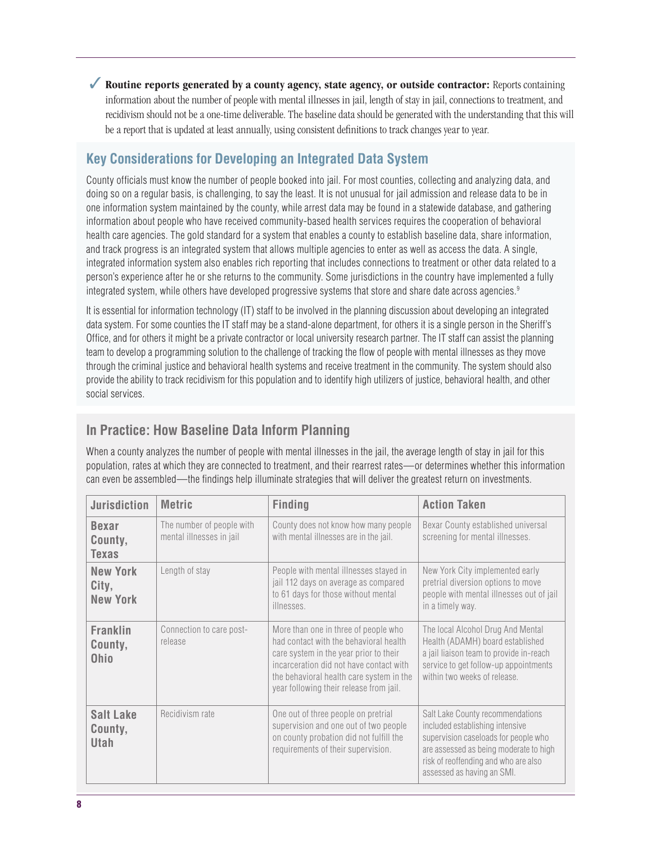✓ **Routine reports generated by a county agency, state agency, or outside contractor:** Reports containing information about the number of people with mental illnesses in jail, length of stay in jail, connections to treatment, and recidivism should not be a one-time deliverable. The baseline data should be generated with the understanding that this will be a report that is updated at least annually, using consistent definitions to track changes year to year.

#### **Key Considerations for Developing an Integrated Data System**

County officials must know the number of people booked into jail. For most counties, collecting and analyzing data, and doing so on a regular basis, is challenging, to say the least. It is not unusual for jail admission and release data to be in one information system maintained by the county, while arrest data may be found in a statewide database, and gathering information about people who have received community-based health services requires the cooperation of behavioral health care agencies. The gold standard for a system that enables a county to establish baseline data, share information, and track progress is an integrated system that allows multiple agencies to enter as well as access the data. A single, integrated information system also enables rich reporting that includes connections to treatment or other data related to a person's experience after he or she returns to the community. Some jurisdictions in the country have implemented a fully integrated system, while others have developed progressive systems that store and share date across agencies.<sup>9</sup>

It is essential for information technology (IT) staff to be involved in the planning discussion about developing an integrated data system. For some counties the IT staff may be a stand-alone department, for others it is a single person in the Sheriff's Office, and for others it might be a private contractor or local university research partner. The IT staff can assist the planning team to develop a programming solution to the challenge of tracking the flow of people with mental illnesses as they move through the criminal justice and behavioral health systems and receive treatment in the community. The system should also provide the ability to track recidivism for this population and to identify high utilizers of justice, behavioral health, and other social services.

#### **In Practice: How Baseline Data Inform Planning**

When a county analyzes the number of people with mental illnesses in the jail, the average length of stay in jail for this population, rates at which they are connected to treatment, and their rearrest rates—or determines whether this information can even be assembled—the findings help illuminate strategies that will deliver the greatest return on investments.

| <b>Jurisdiction</b>                         | <b>Metric</b>                                         | <b>Finding</b>                                                                                                                                                                                                                                             | <b>Action Taken</b>                                                                                                                                                                                                         |
|---------------------------------------------|-------------------------------------------------------|------------------------------------------------------------------------------------------------------------------------------------------------------------------------------------------------------------------------------------------------------------|-----------------------------------------------------------------------------------------------------------------------------------------------------------------------------------------------------------------------------|
| <b>Bexar</b><br>County,<br><b>Texas</b>     | The number of people with<br>mental illnesses in jail | County does not know how many people<br>with mental illnesses are in the jail.                                                                                                                                                                             | Bexar County established universal<br>screening for mental illnesses.                                                                                                                                                       |
| <b>New York</b><br>City,<br><b>New York</b> | Length of stay                                        | People with mental illnesses stayed in<br>jail 112 days on average as compared<br>to 61 days for those without mental<br>illnesses.                                                                                                                        | New York City implemented early<br>pretrial diversion options to move<br>people with mental illnesses out of jail<br>in a timely way.                                                                                       |
| <b>Franklin</b><br>County,<br><b>Ohio</b>   | Connection to care post-<br>release                   | More than one in three of people who<br>had contact with the behavioral health<br>care system in the year prior to their<br>incarceration did not have contact with<br>the behavioral health care system in the<br>year following their release from jail. | The local Alcohol Drug And Mental<br>Health (ADAMH) board established<br>a jail liaison team to provide in-reach<br>service to get follow-up appointments<br>within two weeks of release.                                   |
| Salt Lake<br>County,<br><b>Utah</b>         | Recidivism rate                                       | One out of three people on pretrial<br>supervision and one out of two people<br>on county probation did not fulfill the<br>requirements of their supervision.                                                                                              | Salt Lake County recommendations<br>included establishing intensive<br>supervision caseloads for people who<br>are assessed as being moderate to high<br>risk of reoffending and who are also<br>assessed as having an SMI. |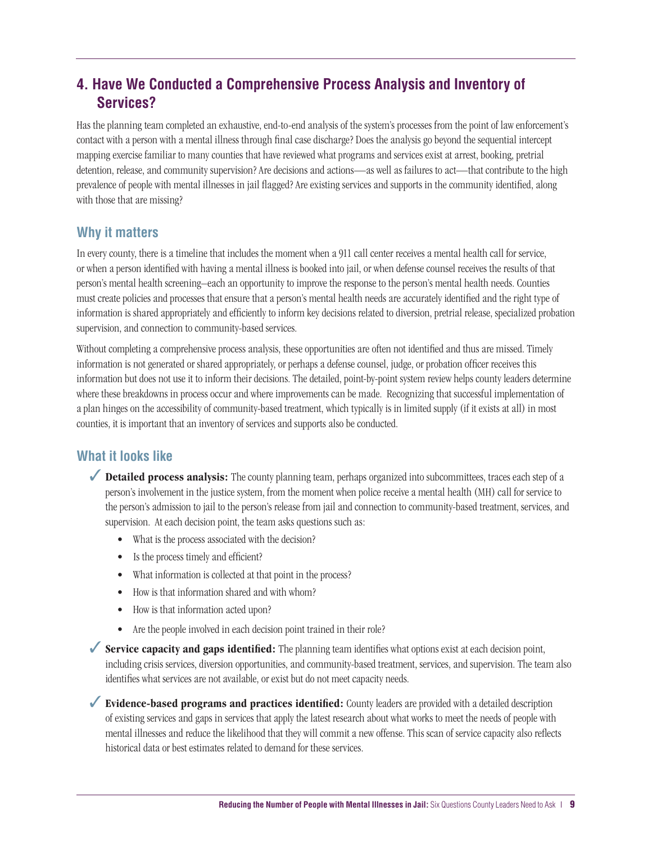#### **4. Have We Conducted a Comprehensive Process Analysis and Inventory of Services?**

Has the planning team completed an exhaustive, end-to-end analysis of the system's processes from the point of law enforcement's contact with a person with a mental illness through final case discharge? Does the analysis go beyond the sequential intercept mapping exercise familiar to many counties that have reviewed what programs and services exist at arrest, booking, pretrial detention, release, and community supervision? Are decisions and actions—as well as failures to act—that contribute to the high prevalence of people with mental illnesses in jail flagged? Are existing services and supports in the community identified, along with those that are missing?

#### **Why it matters**

In every county, there is a timeline that includes the moment when a 911 call center receives a mental health call for service, or when a person identified with having a mental illness is booked into jail, or when defense counsel receives the results of that person's mental health screening–each an opportunity to improve the response to the person's mental health needs. Counties must create policies and processes that ensure that a person's mental health needs are accurately identified and the right type of information is shared appropriately and efficiently to inform key decisions related to diversion, pretrial release, specialized probation supervision, and connection to community-based services.

Without completing a comprehensive process analysis, these opportunities are often not identified and thus are missed. Timely information is not generated or shared appropriately, or perhaps a defense counsel, judge, or probation officer receives this information but does not use it to inform their decisions. The detailed, point-by-point system review helps county leaders determine where these breakdowns in process occur and where improvements can be made. Recognizing that successful implementation of a plan hinges on the accessibility of community-based treatment, which typically is in limited supply (if it exists at all) in most counties, it is important that an inventory of services and supports also be conducted.

#### **What it looks like**

- ◆ **Detailed process analysis:** The county planning team, perhaps organized into subcommittees, traces each step of a person's involvement in the justice system, from the moment when police receive a mental health (MH) call for service to the person's admission to jail to the person's release from jail and connection to community-based treatment, services, and supervision. At each decision point, the team asks questions such as:
	- What is the process associated with the decision?
	- Is the process timely and efficient?
	- What information is collected at that point in the process?
	- How is that information shared and with whom?
	- How is that information acted upon?
	- Are the people involved in each decision point trained in their role?

✓ **Service capacity and gaps identified:** The planning team identifies what options exist at each decision point, including crisis services, diversion opportunities, and community-based treatment, services, and supervision. The team also identifies what services are not available, or exist but do not meet capacity needs.

✓ **Evidence-based programs and practices identified:** County leaders are provided with a detailed description of existing services and gaps in services that apply the latest research about what works to meet the needs of people with mental illnesses and reduce the likelihood that they will commit a new offense. This scan of service capacity also reflects historical data or best estimates related to demand for these services.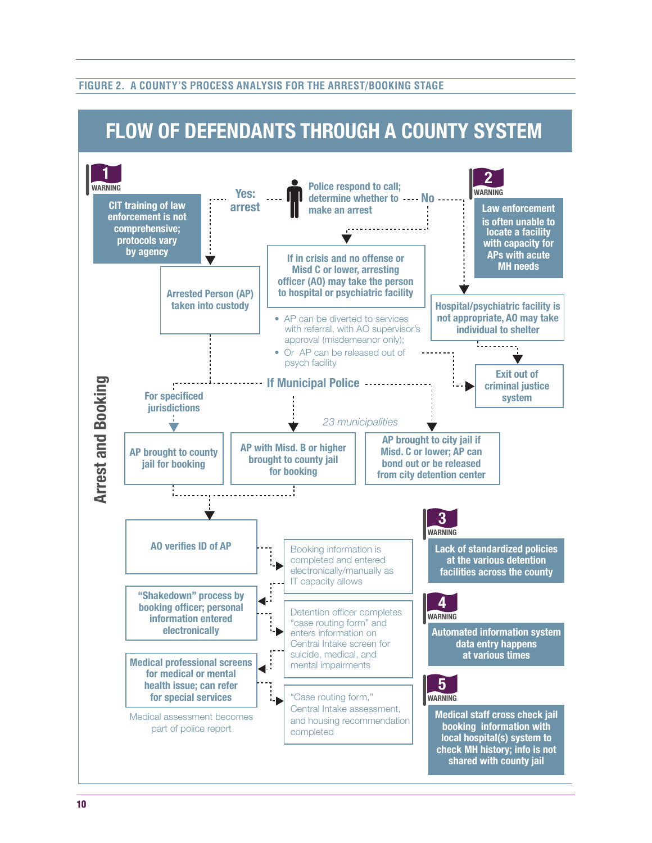#### **FIGURE 2. A COUNTY'S PROCESS ANALYSIS FOR THE ARREST/BOOKING STAGE**

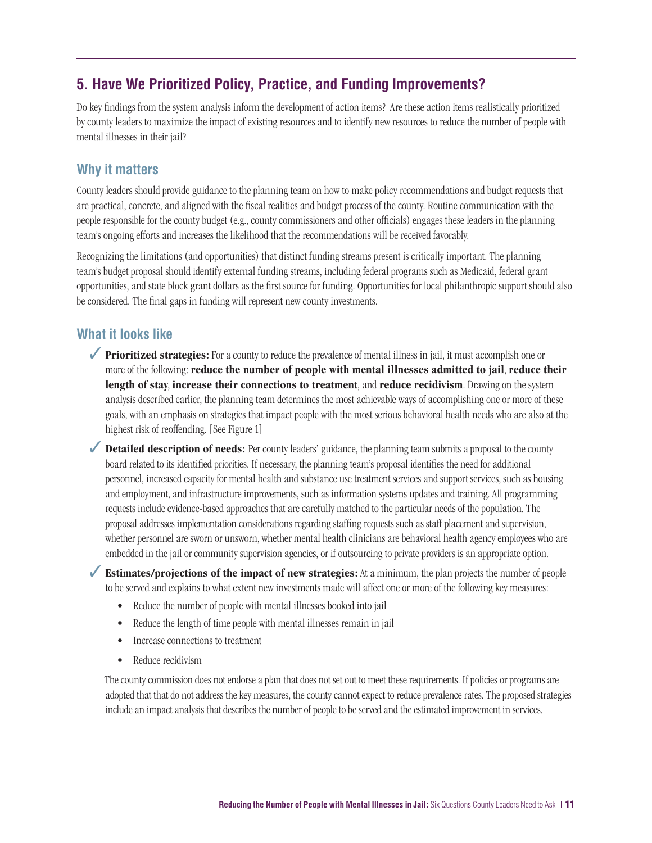#### **5. Have We Prioritized Policy, Practice, and Funding Improvements?**

Do key findings from the system analysis inform the development of action items? Are these action items realistically prioritized by county leaders to maximize the impact of existing resources and to identify new resources to reduce the number of people with mental illnesses in their jail?

#### **Why it matters**

County leaders should provide guidance to the planning team on how to make policy recommendations and budget requests that are practical, concrete, and aligned with the fiscal realities and budget process of the county. Routine communication with the people responsible for the county budget (e.g., county commissioners and other officials) engages these leaders in the planning team's ongoing efforts and increases the likelihood that the recommendations will be received favorably.

Recognizing the limitations (and opportunities) that distinct funding streams present is critically important. The planning team's budget proposal should identify external funding streams, including federal programs such as Medicaid, federal grant opportunities, and state block grant dollars as the first source for funding. Opportunities for local philanthropic support should also be considered. The final gaps in funding will represent new county investments.

#### **What it looks like**

- ◆ **Prioritized strategies:** For a county to reduce the prevalence of mental illness in jail, it must accomplish one or more of the following: **reduce the number of people with mental illnesses admitted to jail**, **reduce their length of stay**, **increase their connections to treatment**, and **reduce recidivism**. Drawing on the system analysis described earlier, the planning team determines the most achievable ways of accomplishing one or more of these goals, with an emphasis on strategies that impact people with the most serious behavioral health needs who are also at the highest risk of reoffending. [See Figure 1]
- ◆ **Detailed description of needs:** Per county leaders' guidance, the planning team submits a proposal to the county board related to its identified priorities. If necessary, the planning team's proposal identifies the need for additional personnel, increased capacity for mental health and substance use treatment services and support services, such as housing and employment, and infrastructure improvements, such as information systems updates and training. All programming requests include evidence-based approaches that are carefully matched to the particular needs of the population. The proposal addresses implementation considerations regarding staffing requests such as staff placement and supervision, whether personnel are sworn or unsworn, whether mental health clinicians are behavioral health agency employees who are embedded in the jail or community supervision agencies, or if outsourcing to private providers is an appropriate option.

✓ **Estimates/projections of the impact of new strategies:** At a minimum, the plan projects the number of people to be served and explains to what extent new investments made will affect one or more of the following key measures:

- Reduce the number of people with mental illnesses booked into jail
- Reduce the length of time people with mental illnesses remain in jail
- Increase connections to treatment
- Reduce recidivism

The county commission does not endorse a plan that does not set out to meet these requirements. If policies or programs are adopted that that do not address the key measures, the county cannot expect to reduce prevalence rates. The proposed strategies include an impact analysis that describes the number of people to be served and the estimated improvement in services.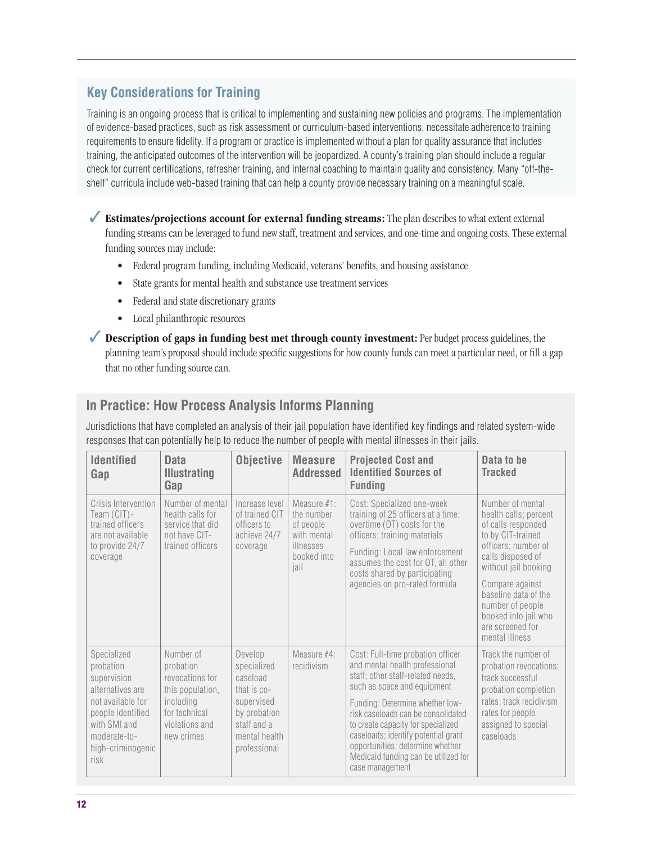#### **Key Considerations for Training**

Training is an ongoing process that is critical to implementing and sustaining new policies and programs. The implementation of evidence-based practices, such as risk assessment or curriculum-based interventions, necessitate adherence to training requirements to ensure fidelity. If a program or practice is implemented without a plan for quality assurance that includes training, the anticipated outcomes of the intervention will be jeopardized. A county's training plan should include a regular check for current certifications, refresher training, and internal coaching to maintain quality and consistency. Many "off-theshelf" curricula include web-based training that can help a county provide necessary training on a meaningful scale.

✓ **Estimates/projections account for external funding streams:** The plan describes to what extent external funding streams can be leveraged to fund new staff, treatment and services, and one-time and ongoing costs. These external funding sources may include:

- Federal program funding, including Medicaid, veterans' benefits, and housing assistance
- State grants for mental health and substance use treatment services
- Federal and state discretionary grants
- Local philanthropic resources

✓ **Description of gaps in funding best met through county investment:** Per budget process guidelines, the planning team's proposal should include specific suggestions for how county funds can meet a particular need, or fill a gap that no other funding source can.

#### **In Practice: How Process Analysis Informs Planning**

Jurisdictions that have completed an analysis of their jail population have identified key findings and related system-wide responses that can potentially help to reduce the number of people with mental illnesses in their jails.

| <b>Identified</b><br>Gap                                                                                                                                           | <b>Data</b><br><b>Illustrating</b><br>Gap                                                                                   | <b>Objective</b>                                                                                                                  | <b>Measure</b><br><b>Addressed</b>                                                        | <b>Projected Cost and</b><br><b>Identified Sources of</b><br><b>Funding</b>                                                                                                                                                                                                                                                                                                                  | Data to be<br><b>Tracked</b>                                                                                                                                                                                                                                                          |
|--------------------------------------------------------------------------------------------------------------------------------------------------------------------|-----------------------------------------------------------------------------------------------------------------------------|-----------------------------------------------------------------------------------------------------------------------------------|-------------------------------------------------------------------------------------------|----------------------------------------------------------------------------------------------------------------------------------------------------------------------------------------------------------------------------------------------------------------------------------------------------------------------------------------------------------------------------------------------|---------------------------------------------------------------------------------------------------------------------------------------------------------------------------------------------------------------------------------------------------------------------------------------|
| Crisis Intervention<br>Team (CIT)-<br>trained officers<br>are not available<br>to provide 24/7<br>coverage                                                         | Number of mental<br>health calls for<br>service that did<br>not have CIT-<br>trained officers                               | Increase level<br>of trained CIT<br>officers to<br>achieve 24/7<br>coverage                                                       | Measure #1:<br>the number<br>of people<br>with mental<br>illnesses<br>booked into<br>iail | Cost: Specialized one-week<br>training of 25 officers at a time;<br>overtime (OT) costs for the<br>officers; training materials<br>Funding: Local law enforcement<br>assumes the cost for OT, all other<br>costs shared by participating<br>agencies on pro-rated formula                                                                                                                    | Number of mental<br>health calls; percent<br>of calls responded<br>to by CIT-trained<br>officers; number of<br>calls disposed of<br>without jail booking<br>Compare against<br>baseline data of the<br>number of people<br>booked into jail who<br>are screened for<br>mental illness |
| Specialized<br>probation<br>supervision<br>alternatives are<br>not available for<br>people identified<br>with SMI and<br>moderate-to-<br>high-criminogenic<br>risk | Number of<br>probation<br>revocations for<br>this population,<br>including<br>for technical<br>violations and<br>new crimes | Develop<br>specialized<br>caseload<br>that is $co-$<br>supervised<br>by probation<br>staff and a<br>mental health<br>professional | Measure $#4$ :<br>recidivism                                                              | Cost: Full-time probation officer<br>and mental health professional<br>staff; other staff-related needs,<br>such as space and equipment<br>Funding: Determine whether low-<br>risk caseloads can be consolidated<br>to create capacity for specialized<br>caseloads; identify potential grant<br>opportunities; determine whether<br>Medicaid funding can be utilized for<br>case management | Track the number of<br>probation revocations;<br>track successful<br>probation completion<br>rates; track recidivism<br>rates for people<br>assigned to special<br>caseloads                                                                                                          |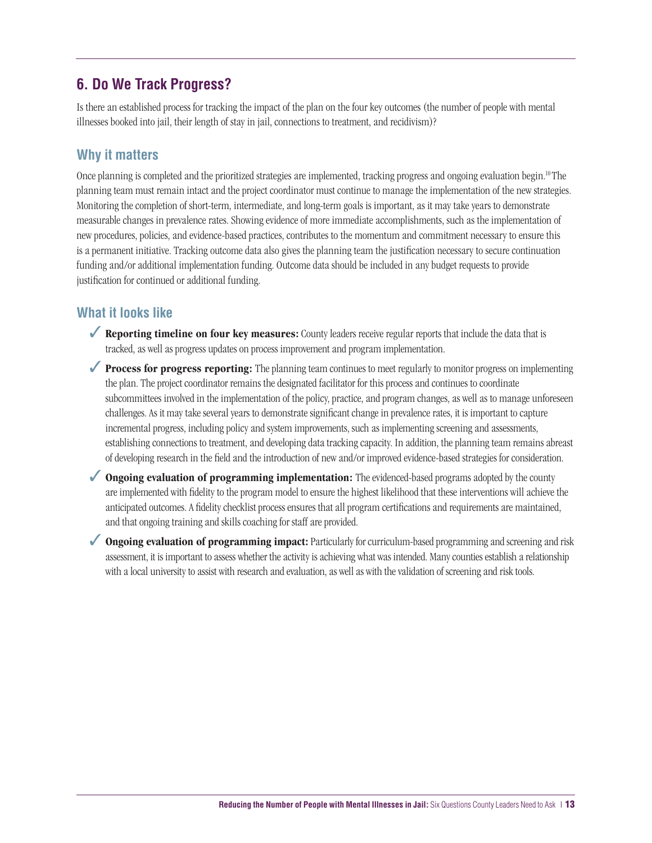#### **6. Do We Track Progress?**

Is there an established process for tracking the impact of the plan on the four key outcomes (the number of people with mental illnesses booked into jail, their length of stay in jail, connections to treatment, and recidivism)?

#### **Why it matters**

Once planning is completed and the prioritized strategies are implemented, tracking progress and ongoing evaluation begin.<sup>10</sup> The planning team must remain intact and the project coordinator must continue to manage the implementation of the new strategies. Monitoring the completion of short-term, intermediate, and long-term goals is important, as it may take years to demonstrate measurable changes in prevalence rates. Showing evidence of more immediate accomplishments, such as the implementation of new procedures, policies, and evidence-based practices, contributes to the momentum and commitment necessary to ensure this is a permanent initiative. Tracking outcome data also gives the planning team the justification necessary to secure continuation funding and/or additional implementation funding. Outcome data should be included in any budget requests to provide justification for continued or additional funding.

#### **What it looks like**

- ✓ **Reporting timeline on four key measures:** County leaders receive regular reports that include the data that is tracked, as well as progress updates on process improvement and program implementation.
- ◆ **Process for progress reporting:** The planning team continues to meet regularly to monitor progress on implementing the plan. The project coordinator remains the designated facilitator for this process and continues to coordinate subcommittees involved in the implementation of the policy, practice, and program changes, as well as to manage unforeseen challenges. As it may take several years to demonstrate significant change in prevalence rates, it is important to capture incremental progress, including policy and system improvements, such as implementing screening and assessments, establishing connections to treatment, and developing data tracking capacity. In addition, the planning team remains abreast of developing research in the field and the introduction of new and/or improved evidence-based strategies for consideration.
- ◆ **Ongoing evaluation of programming implementation:** The evidenced-based programs adopted by the county are implemented with fidelity to the program model to ensure the highest likelihood that these interventions will achieve the anticipated outcomes. A fidelity checklist process ensures that all program certifications and requirements are maintained, and that ongoing training and skills coaching for staff are provided.
- ◆ **Ongoing evaluation of programming impact:** Particularly for curriculum-based programming and screening and risk assessment, it is important to assess whether the activity is achieving what was intended. Many counties establish a relationship with a local university to assist with research and evaluation, as well as with the validation of screening and risk tools.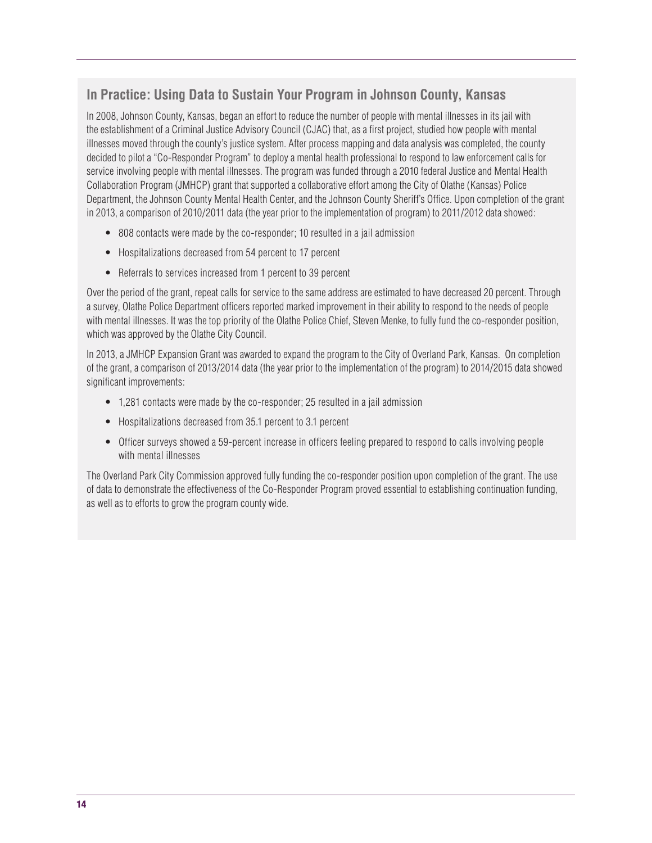#### **In Practice: Using Data to Sustain Your Program in Johnson County, Kansas**

✓ in 2013, a comparison of 2010/2011 data (the year prior to the implementation of program) to 2011/2012 data showed: In 2008, Johnson County, Kansas, began an effort to reduce the number of people with mental illnesses in its jail with the establishment of a Criminal Justice Advisory Council (CJAC) that, as a first project, studied how people with mental illnesses moved through the county's justice system. After process mapping and data analysis was completed, the county decided to pilot a "Co-Responder Program" to deploy a mental health professional to respond to law enforcement calls for service involving people with mental illnesses. The program was funded through a 2010 federal Justice and Mental Health Collaboration Program (JMHCP) grant that supported a collaborative effort among the City of Olathe (Kansas) Police Department, the Johnson County Mental Health Center, and the Johnson County Sheriff's Office. Upon completion of the grant

- 808 contacts were made by the co-responder; 10 resulted in a jail admission
- Hospitalizations decreased from 54 percent to 17 percent
- Referrals to services increased from 1 percent to 39 percent

Over the period of the grant, repeat calls for service to the same address are estimated to have decreased 20 percent. Through a survey, Olathe Police Department officers reported marked improvement in their ability to respond to the needs of people with mental illnesses. It was the top priority of the Olathe Police Chief, Steven Menke, to fully fund the co-responder position, which was approved by the Olathe City Council.

In 2013, a JMHCP Expansion Grant was awarded to expand the program to the City of Overland Park, Kansas. On completion of the grant, a comparison of 2013/2014 data (the year prior to the implementation of the program) to 2014/2015 data showed significant improvements:

- 1,281 contacts were made by the co-responder; 25 resulted in a jail admission
- Hospitalizations decreased from 35.1 percent to 3.1 percent
- Officer surveys showed a 59-percent increase in officers feeling prepared to respond to calls involving people with mental illnesses

The Overland Park City Commission approved fully funding the co-responder position upon completion of the grant. The use of data to demonstrate the effectiveness of the Co-Responder Program proved essential to establishing continuation funding, as well as to efforts to grow the program county wide.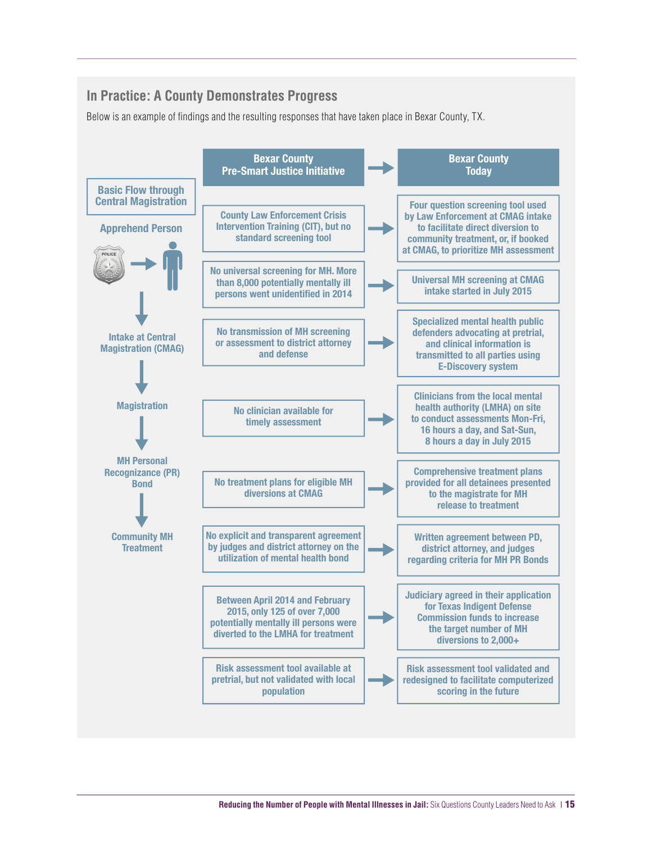#### **In Practice: A County Demonstrates Progress**

Below is an example of findings and the resulting responses that have taken place in Bexar County, TX.